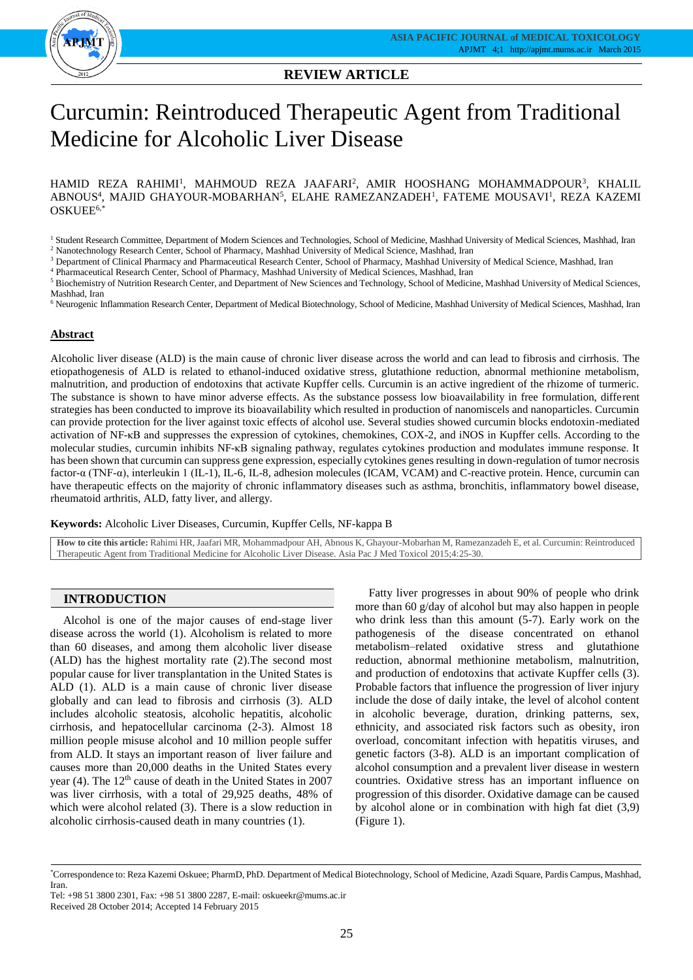

## **REVIEW ARTICLE**

# Curcumin: Reintroduced Therapeutic Agent from Traditional Medicine for Alcoholic Liver Disease

HAMID REZA RAHIMI<sup>1</sup>, MAHMOUD REZA JAAFARI<sup>2</sup>, AMIR HOOSHANG MOHAMMADPOUR<sup>3</sup>, KHALIL ABNOUS<sup>4</sup>, MAJID GHAYOUR-MOBARHAN<sup>5</sup>, ELAHE RAMEZANZADEH<sup>1</sup>, FATEME MOUSAVI<sup>1</sup>, REZA KAZEMI OSKUEE6,\*

<sup>2</sup> Nanotechnology Research Center, School of Pharmacy, Mashhad University of Medical Science, Mashhad, Iran

<sup>3</sup> Department of Clinical Pharmacy and Pharmaceutical Research Center, School of Pharmacy, Mashhad University of Medical Science, Mashhad, Iran

<sup>4</sup> Pharmaceutical Research Center, School of Pharmacy, Mashhad University of Medical Sciences, Mashhad, Iran

<sup>5</sup> Biochemistry of Nutrition Research Center, and Department of New Sciences and Technology, School of Medicine, Mashhad University of Medical Sciences, Mashhad, Iran

<sup>6</sup> Neurogenic Inflammation Research Center, Department of Medical Biotechnology, School of Medicine, Mashhad University of Medical Sciences, Mashhad, Iran

#### **Abstract**

Alcoholic liver disease (ALD) is the main cause of chronic liver disease across the world and can lead to fibrosis and cirrhosis. The etiopathogenesis of ALD is related to ethanol-induced oxidative stress, glutathione reduction, abnormal methionine metabolism, malnutrition, and production of endotoxins that activate Kupffer cells. Curcumin is an active ingredient of the rhizome of turmeric. The substance is shown to have minor adverse effects. As the substance possess low bioavailability in free formulation, different strategies has been conducted to improve its bioavailability which resulted in production of nanomiscels and nanoparticles. Curcumin can provide protection for the liver against toxic effects of alcohol use. Several studies showed curcumin blocks endotoxin-mediated activation of NF-κB and suppresses the expression of cytokines, chemokines, COX-2, and iNOS in Kupffer cells. According to the molecular studies, curcumin inhibits NF-κB signaling pathway, regulates cytokines production and modulates immune response. It has been shown that curcumin can suppress gene expression, especially cytokines genes resulting in down-regulation of tumor necrosis factor-α (TNF-α), interleukin 1 (IL-1), IL-6, IL-8, adhesion molecules (ICAM, VCAM) and C-reactive protein. Hence, curcumin can have therapeutic effects on the majority of chronic inflammatory diseases such as asthma, bronchitis, inflammatory bowel disease, rheumatoid arthritis, ALD, fatty liver, and allergy.

**Keywords:** Alcoholic Liver Diseases, Curcumin, Kupffer Cells, NF-kappa B

**How to cite this article:** Rahimi HR, Jaafari MR, Mohammadpour AH, Abnous K, Ghayour-Mobarhan M, Ramezanzadeh E, et al. Curcumin: Reintroduced Therapeutic Agent from Traditional Medicine for Alcoholic Liver Disease. Asia Pac J Med Toxicol 2015;4:25-30.

# **INTRODUCTION**

Alcohol is one of the major causes of end-stage liver disease across the world (1). Alcoholism is related to more than 60 diseases, and among them alcoholic liver disease (ALD) has the highest mortality rate (2).The second most popular cause for liver transplantation in the United States is ALD (1). ALD is a main cause of chronic liver disease globally and can lead to fibrosis and cirrhosis (3). ALD includes alcoholic steatosis, alcoholic hepatitis, alcoholic cirrhosis, and hepatocellular carcinoma (2-3). Almost 18 million people misuse alcohol and 10 million people suffer from ALD. It stays an important reason of liver failure and causes more than 20,000 deaths in the United States every year (4). The 12<sup>th</sup> cause of death in the United States in 2007 was liver cirrhosis, with a total of 29,925 deaths, 48% of which were alcohol related (3). There is a slow reduction in alcoholic cirrhosis-caused death in many countries (1).

Fatty liver progresses in about 90% of people who drink more than 60 g/day of alcohol but may also happen in people who drink less than this amount (5-7). Early work on the pathogenesis of the disease concentrated on ethanol metabolism–related oxidative stress and glutathione reduction, abnormal methionine metabolism, malnutrition, and production of endotoxins that activate Kupffer cells (3). Probable factors that influence the progression of liver injury include the dose of daily intake, the level of alcohol content in alcoholic beverage, duration, drinking patterns, sex, ethnicity, and associated risk factors such as obesity, iron overload, concomitant infection with hepatitis viruses, and genetic factors (3-8). ALD is an important complication of alcohol consumption and a prevalent liver disease in western countries. Oxidative stress has an important influence on progression of this disorder. Oxidative damage can be caused by alcohol alone or in combination with high fat diet (3,9) (Figure 1).

<sup>&</sup>lt;sup>1</sup> Student Research Committee, Department of Modern Sciences and Technologies, School of Medicine, Mashhad University of Medical Sciences, Mashhad, Iran

<sup>\*</sup>Correspondence to: Reza Kazemi Oskuee; PharmD, PhD. Department of Medical Biotechnology, School of Medicine, Azadi Square, Pardis Campus, Mashhad, Iran.

Tel: +98 51 3800 2301, Fax: +98 51 3800 2287, E-mail: oskueekr@mums.ac.ir Received 28 October 2014; Accepted 14 February 2015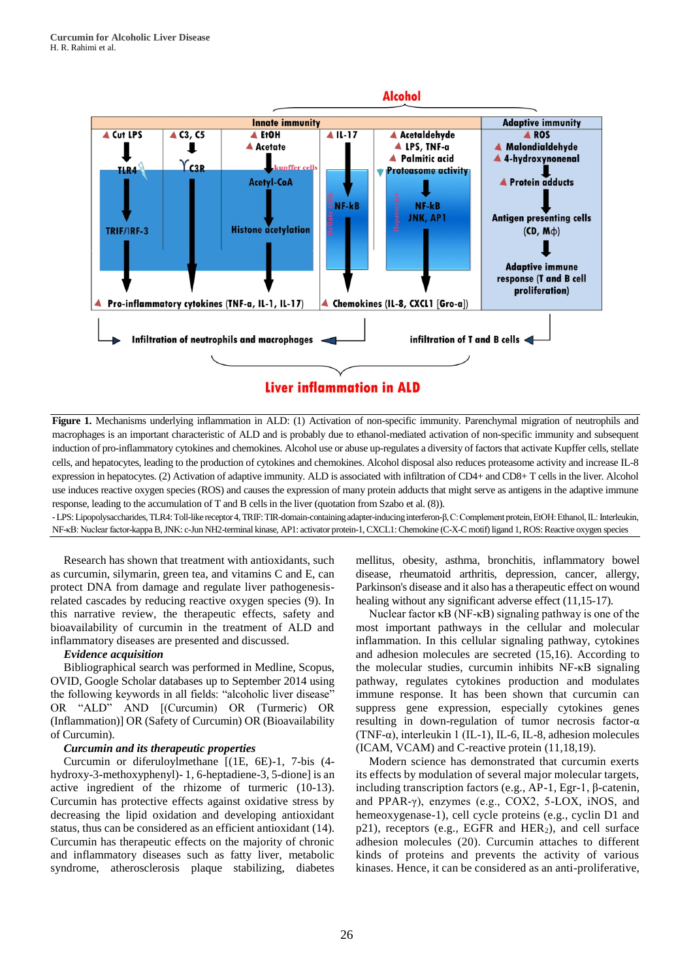

**Figure 1.** Mechanisms underlying inflammation in ALD: (1) Activation of non-specific immunity. Parenchymal migration of neutrophils and macrophages is an important characteristic of ALD and is probably due to ethanol-mediated activation of non-specific immunity and subsequent induction of pro-inflammatory cytokines and chemokines. Alcohol use or abuse up-regulates a diversity of factors that activate Kupffer cells, stellate cells, and hepatocytes, leading to the production of cytokines and chemokines. Alcohol disposal also reduces proteasome activity and increase IL-8 expression in hepatocytes. (2) Activation of adaptive immunity. ALD is associated with infiltration of CD4+ and CD8+ T cells in the liver. Alcohol use induces reactive oxygen species (ROS) and causes the expression of many protein adducts that might serve as antigens in the adaptive immune response, leading to the accumulation of T and B cells in the liver (quotation from Szabo et al. (8)).

-LPS: Lipopolysaccharides, TLR4: Toll-like receptor 4, TRIF: TIR-domain-containing adapter-inducing interferon-β, C: Complement protein, EtOH: Ethanol, IL: Interleukin, NF-κB: Nuclear factor-kappa B, JNK: c-Jun NH2-terminal kinase, AP1: activator protein-1, CXCL1: Chemokine (C-X-C motif) ligand 1, ROS: Reactive oxygen species

Research has shown that treatment with antioxidants, such as curcumin, silymarin, green tea, and vitamins C and E, can protect DNA from damage and regulate liver pathogenesisrelated cascades by reducing reactive oxygen species (9). In this narrative review, the therapeutic effects, safety and bioavailability of curcumin in the treatment of ALD and inflammatory diseases are presented and discussed.

## *Evidence acquisition*

Bibliographical search was performed in Medline, Scopus, OVID, Google Scholar databases up to September 2014 using the following keywords in all fields: "alcoholic liver disease" OR "ALD" AND [(Curcumin) OR (Turmeric) OR (Inflammation)] OR (Safety of Curcumin) OR (Bioavailability of Curcumin).

#### *Curcumin and its therapeutic properties*

Curcumin or diferuloylmethane [(1E, 6E)-1, 7-bis (4 hydroxy-3-methoxyphenyl)- 1, 6-heptadiene-3, 5-dione] is an active ingredient of the rhizome of turmeric (10-13). Curcumin has protective effects against oxidative stress by decreasing the lipid oxidation and developing antioxidant status, thus can be considered as an efficient antioxidant (14). Curcumin has therapeutic effects on the majority of chronic and inflammatory diseases such as fatty liver, metabolic syndrome, atherosclerosis plaque stabilizing, diabetes

mellitus, obesity, asthma, bronchitis, inflammatory bowel disease, rheumatoid arthritis, depression, cancer, allergy, Parkinson's disease and it also has a therapeutic effect on wound healing without any significant adverse effect (11,15-17).

Nuclear factor κB (NF-κB) signaling pathway is one of the most important pathways in the cellular and molecular inflammation. In this cellular signaling pathway, cytokines and adhesion molecules are secreted (15,16). According to the molecular studies, curcumin inhibits NF-κB signaling pathway, regulates cytokines production and modulates immune response. It has been shown that curcumin can suppress gene expression, especially cytokines genes resulting in down-regulation of tumor necrosis factor-α (TNF-α), interleukin 1 (IL-1), IL-6, IL-8, adhesion molecules (ICAM, VCAM) and C-reactive protein (11,18,19).

Modern science has demonstrated that curcumin exerts its effects by modulation of several major molecular targets, including transcription factors (e.g., AP-1, Egr-1, β-catenin, and PPAR-γ), enzymes (e.g., COX2, 5-LOX, iNOS, and hemeoxygenase-1), cell cycle proteins (e.g., cyclin D1 and p21), receptors (e.g., EGFR and HER2), and cell surface adhesion molecules (20). Curcumin attaches to different kinds of proteins and prevents the activity of various kinases. Hence, it can be considered as an anti-proliferative,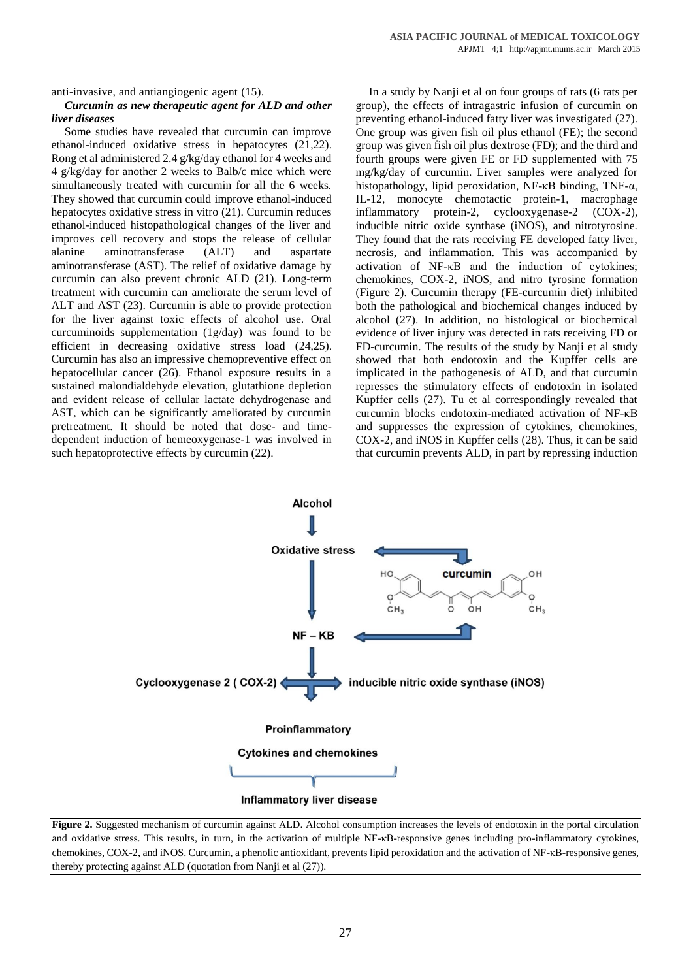anti-invasive, and antiangiogenic agent (15).

#### *Curcumin as new therapeutic agent for ALD and other liver diseases*

Some studies have revealed that curcumin can improve ethanol-induced oxidative stress in hepatocytes (21,22). Rong et al administered 2.4 g/kg/day ethanol for 4 weeks and 4 g/kg/day for another 2 weeks to Balb/c mice which were simultaneously treated with curcumin for all the 6 weeks. They showed that curcumin could improve ethanol-induced hepatocytes oxidative stress in vitro (21). Curcumin reduces ethanol-induced histopathological changes of the liver and improves cell recovery and stops the release of cellular alanine aminotransferase (ALT) and aspartate aminotransferase (AST). The relief of oxidative damage by curcumin can also prevent chronic ALD (21). Long-term treatment with curcumin can ameliorate the serum level of ALT and AST (23). Curcumin is able to provide protection for the liver against toxic effects of alcohol use. Oral curcuminoids supplementation (1g/day) was found to be efficient in decreasing oxidative stress load (24,25). Curcumin has also an impressive chemopreventive effect on hepatocellular cancer (26). Ethanol exposure results in a sustained malondialdehyde elevation, glutathione depletion and evident release of cellular lactate dehydrogenase and AST, which can be significantly ameliorated by curcumin pretreatment. It should be noted that dose- and timedependent induction of hemeoxygenase-1 was involved in such hepatoprotective effects by curcumin (22).

In a study by Nanji et al on four groups of rats (6 rats per group), the effects of intragastric infusion of curcumin on preventing ethanol-induced fatty liver was investigated (27). One group was given fish oil plus ethanol (FE); the second group was given fish oil plus dextrose (FD); and the third and fourth groups were given FE or FD supplemented with 75 mg/kg/day of curcumin. Liver samples were analyzed for histopathology, lipid peroxidation, NF-κB binding, TNF-α, IL-12, monocyte chemotactic protein-1, macrophage inflammatory protein-2, cyclooxygenase-2 (COX-2), inducible nitric oxide synthase (iNOS), and nitrotyrosine. They found that the rats receiving FE developed fatty liver, necrosis, and inflammation. This was accompanied by activation of NF-κB and the induction of cytokines; chemokines, COX-2, iNOS, and nitro tyrosine formation (Figure 2). Curcumin therapy (FE-curcumin diet) inhibited both the pathological and biochemical changes induced by alcohol (27). In addition, no histological or biochemical evidence of liver injury was detected in rats receiving FD or FD-curcumin. The results of the study by Nanji et al study showed that both endotoxin and the Kupffer cells are implicated in the pathogenesis of ALD, and that curcumin represses the stimulatory effects of endotoxin in isolated Kupffer cells (27). Tu et al correspondingly revealed that curcumin blocks endotoxin-mediated activation of NF-κB and suppresses the expression of cytokines, chemokines, COX-2, and iNOS in Kupffer cells (28). Thus, it can be said that curcumin prevents ALD, in part by repressing induction



**Figure 2.** Suggested mechanism of curcumin against ALD. Alcohol consumption increases the levels of endotoxin in the portal circulation and oxidative stress. This results, in turn, in the activation of multiple NF-κB-responsive genes including pro-inflammatory cytokines, chemokines, COX-2, and iNOS. Curcumin, a phenolic antioxidant, prevents lipid peroxidation and the activation of NF-κB-responsive genes, thereby protecting against ALD (quotation from Nanji et al (27)).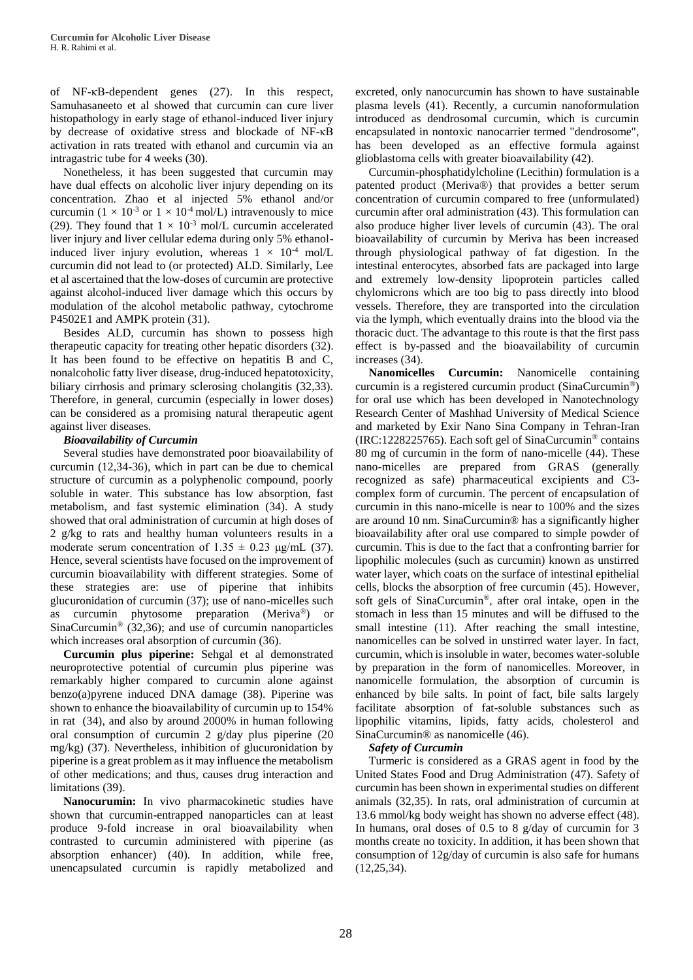of NF-κB-dependent genes (27). In this respect, Samuhasaneeto et al showed that curcumin can cure liver histopathology in early stage of ethanol-induced liver injury by decrease of oxidative stress and blockade of NF-κB activation in rats treated with ethanol and curcumin via an intragastric tube for 4 weeks (30).

Nonetheless, it has been suggested that curcumin may have dual effects on alcoholic liver injury depending on its concentration. Zhao et al injected 5% ethanol and/or curcumin ( $1 \times 10^{-3}$  or  $1 \times 10^{-4}$  mol/L) intravenously to mice (29). They found that  $1 \times 10^{-3}$  mol/L curcumin accelerated liver injury and liver cellular edema during only 5% ethanolinduced liver injury evolution, whereas  $1 \times 10^{-4}$  mol/L curcumin did not lead to (or protected) ALD. Similarly, Lee et al ascertained that the low-doses of curcumin are protective against alcohol-induced liver damage which this occurs by modulation of the alcohol metabolic pathway, cytochrome P4502E1 and AMPK protein (31).

Besides ALD, curcumin has shown to possess high therapeutic capacity for treating other hepatic disorders (32). It has been found to be effective on hepatitis B and C, nonalcoholic fatty liver disease, drug-induced hepatotoxicity, biliary cirrhosis and primary sclerosing cholangitis (32,33). Therefore, in general, curcumin (especially in lower doses) can be considered as a promising natural therapeutic agent against liver diseases.

## *Bioavailability of Curcumin*

Several studies have demonstrated poor bioavailability of curcumin (12,34-36), which in part can be due to chemical structure of curcumin as a polyphenolic compound, poorly soluble in water. This substance has low absorption, fast metabolism, and fast systemic elimination (34). A study showed that oral administration of curcumin at high doses of 2 g/kg to rats and healthy human volunteers results in a moderate serum concentration of  $1.35 \pm 0.23$  μg/mL (37). Hence, several scientists have focused on the improvement of curcumin bioavailability with different strategies. Some of these strategies are: use of piperine that inhibits glucuronidation of curcumin (37); use of nano-micelles such as curcumin phytosome preparation (Meriva®) or  $SinaCurcumin<sup>®</sup>$  (32,36); and use of curcumin nanoparticles which increases oral absorption of curcumin (36).

**Curcumin plus piperine:** Sehgal et al demonstrated neuroprotective potential of curcumin plus piperine was remarkably higher compared to curcumin alone against benzo(a)pyrene induced DNA damage (38). Piperine was shown to enhance the bioavailability of curcumin up to 154% in rat (34), and also by around 2000% in human following oral consumption of curcumin 2 g/day plus piperine (20 mg/kg) (37). Nevertheless, inhibition of glucuronidation by piperine is a great problem as it may influence the metabolism of other medications; and thus, causes drug interaction and limitations (39).

**Nanocurumin:** In vivo pharmacokinetic studies have shown that curcumin-entrapped nanoparticles can at least produce 9-fold increase in oral bioavailability when contrasted to curcumin administered with piperine (as absorption enhancer) (40). In addition, while free, unencapsulated curcumin is rapidly metabolized and

excreted, only nanocurcumin has shown to have sustainable plasma levels (41). Recently, a curcumin nanoformulation introduced as dendrosomal curcumin, which is curcumin encapsulated in nontoxic nanocarrier termed "dendrosome", has been developed as an effective formula against glioblastoma cells with greater bioavailability (42).

Curcumin-phosphatidylcholine (Lecithin) formulation is a patented product (Meriva®) that provides a better serum concentration of curcumin compared to free (unformulated) curcumin after oral administration (43). This formulation can also produce higher liver levels of curcumin (43). The oral bioavailability of curcumin by Meriva has been increased through physiological pathway of fat digestion. In the intestinal enterocytes, absorbed fats are packaged into large and extremely low-density lipoprotein particles called chylomicrons which are too big to pass directly into blood vessels. Therefore, they are transported into the circulation via the lymph, which eventually drains into the blood via the thoracic duct. The advantage to this route is that the first pass effect is by-passed and the bioavailability of curcumin increases (34).

**Nanomicelles Curcumin:** Nanomicelle containing curcumin is a registered curcumin product (SinaCurcumin®) for oral use which has been developed in Nanotechnology Research Center of Mashhad University of Medical Science and marketed by Exir Nano Sina Company in Tehran-Iran (IRC:1228225765). Each soft gel of SinaCurcumin® contains 80 mg of curcumin in the form of nano-micelle (44). These nano-micelles are prepared from GRAS (generally recognized as safe) pharmaceutical excipients and C3 complex form of curcumin. The percent of encapsulation of curcumin in this nano-micelle is near to 100% and the sizes are around 10 nm. SinaCurcumin® has a significantly higher bioavailability after oral use compared to simple powder of curcumin. This is due to the fact that a confronting barrier for lipophilic molecules (such as curcumin) known as unstirred water layer, which coats on the surface of intestinal epithelial cells, blocks the absorption of free curcumin (45). However, soft gels of SinaCurcumin®, after oral intake, open in the stomach in less than 15 minutes and will be diffused to the small intestine (11). After reaching the small intestine, nanomicelles can be solved in unstirred water layer. In fact, curcumin, which is insoluble in water, becomes water-soluble by preparation in the form of nanomicelles. Moreover, in nanomicelle formulation, the absorption of curcumin is enhanced by bile salts. In point of fact, bile salts largely facilitate absorption of fat-soluble substances such as lipophilic vitamins, lipids, fatty acids, cholesterol and SinaCurcumin® as nanomicelle (46).

## *Safety of Curcumin*

Turmeric is considered as a GRAS agent in food by the United States Food and Drug Administration (47). Safety of curcumin has been shown in experimental studies on different animals (32,35). In rats, oral administration of curcumin at 13.6 mmol/kg body weight has shown no adverse effect (48). In humans, oral doses of 0.5 to 8 g/day of curcumin for 3 months create no toxicity. In addition, it has been shown that consumption of 12g/day of curcumin is also safe for humans (12,25,34).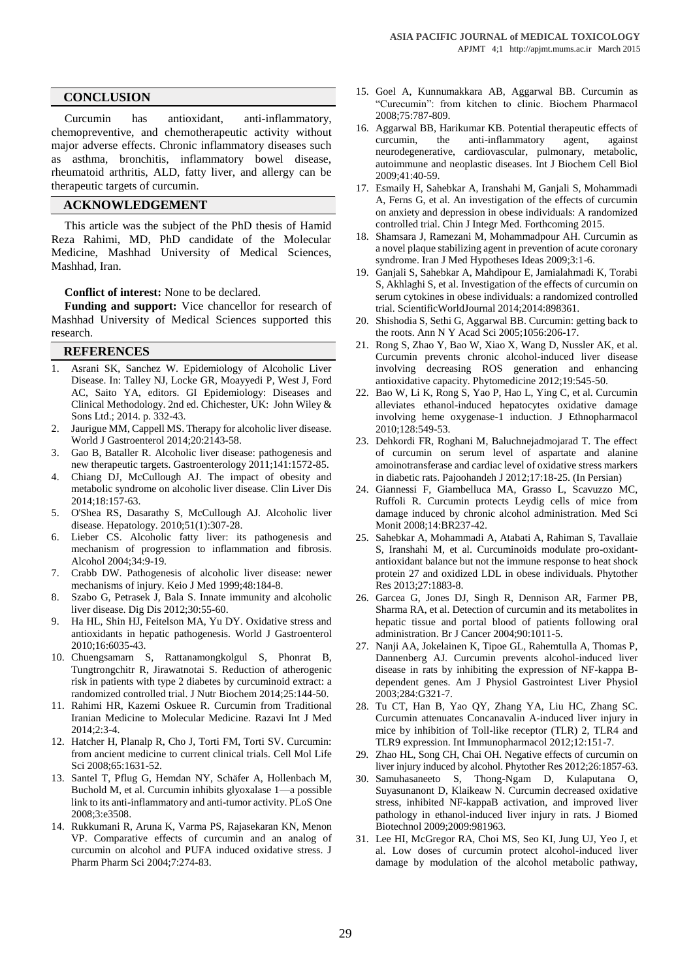## **CONCLUSION**

Curcumin has antioxidant, anti-inflammatory, chemopreventive, and chemotherapeutic activity without major adverse effects. Chronic inflammatory diseases such as asthma, bronchitis, inflammatory bowel disease, rheumatoid arthritis, ALD, fatty liver, and allergy can be therapeutic targets of curcumin.

#### **ACKNOWLEDGEMENT**

This article was the subject of the PhD thesis of Hamid Reza Rahimi, MD, PhD candidate of the Molecular Medicine, Mashhad University of Medical Sciences, Mashhad, Iran.

**Conflict of interest:** None to be declared.

**Funding and support:** Vice chancellor for research of Mashhad University of Medical Sciences supported this research.

#### **REFERENCES**

- 1. Asrani SK, Sanchez W. Epidemiology of Alcoholic Liver Disease. In: Talley NJ, Locke GR, Moayyedi P, West J, Ford AC, Saito YA, editors. GI Epidemiology: Diseases and Clinical Methodology. 2nd ed. Chichester, UK: John Wiley & Sons Ltd.; 2014. p. 332-43.
- 2. Jaurigue MM, Cappell MS. Therapy for alcoholic liver disease. World J Gastroenterol 2014;20:2143-58.
- 3. Gao B, Bataller R. Alcoholic liver disease: pathogenesis and new therapeutic targets. Gastroenterology 2011;141:1572-85.
- 4. Chiang DJ, McCullough AJ. The impact of obesity and metabolic syndrome on alcoholic liver disease. Clin Liver Dis 2014;18:157-63.
- 5. O'Shea RS, Dasarathy S, McCullough AJ. Alcoholic liver disease. Hepatology. 2010;51(1):307-28.
- 6. Lieber CS. Alcoholic fatty liver: its pathogenesis and mechanism of progression to inflammation and fibrosis. Alcohol 2004;34:9-19.
- 7. Crabb DW. Pathogenesis of alcoholic liver disease: newer mechanisms of injury. Keio J Med 1999;48:184-8.
- 8. Szabo G, Petrasek J, Bala S. Innate immunity and alcoholic liver disease. Dig Dis 2012;30:55-60.
- 9. Ha HL, Shin HJ, Feitelson MA, Yu DY. Oxidative stress and antioxidants in hepatic pathogenesis. World J Gastroenterol 2010;16:6035-43.
- 10. Chuengsamarn S, Rattanamongkolgul S, Phonrat B, Tungtrongchitr R, Jirawatnotai S. Reduction of atherogenic risk in patients with type 2 diabetes by curcuminoid extract: a randomized controlled trial. J Nutr Biochem 2014;25:144-50.
- 11. Rahimi HR, Kazemi Oskuee R. Curcumin from Traditional Iranian Medicine to Molecular Medicine. Razavi Int J Med  $2014:2:3-4.$
- 12. Hatcher H, Planalp R, Cho J, Torti FM, Torti SV. Curcumin: from ancient medicine to current clinical trials. Cell Mol Life Sci 2008;65:1631-52.
- 13. Santel T, Pflug G, Hemdan NY, Schäfer A, Hollenbach M, Buchold M, et al. Curcumin inhibits glyoxalase 1—a possible link to its anti-inflammatory and anti-tumor activity. PLoS One 2008;3:e3508.
- 14. Rukkumani R, Aruna K, Varma PS, Rajasekaran KN, Menon VP. Comparative effects of curcumin and an analog of curcumin on alcohol and PUFA induced oxidative stress. J Pharm Pharm Sci 2004;7:274-83.
- 15. Goel A, Kunnumakkara AB, Aggarwal BB. Curcumin as "Curecumin": from kitchen to clinic. Biochem Pharmacol 2008;75:787-809.
- 16. Aggarwal BB, Harikumar KB. Potential therapeutic effects of curcumin, the anti-inflammatory agent, against neurodegenerative, cardiovascular, pulmonary, metabolic, autoimmune and neoplastic diseases. Int J Biochem Cell Biol 2009;41:40-59.
- 17. Esmaily H, Sahebkar A, Iranshahi M, Ganjali S, Mohammadi A, Ferns G, et al. An investigation of the effects of curcumin on anxiety and depression in obese individuals: A randomized controlled trial. Chin J Integr Med. Forthcoming 2015.
- 18. Shamsara J, Ramezani M, Mohammadpour AH. Curcumin as a novel plaque stabilizing agent in prevention of acute coronary syndrome. Iran J Med Hypotheses Ideas 2009;3:1-6.
- 19. Ganjali S, Sahebkar A, Mahdipour E, Jamialahmadi K, Torabi S, Akhlaghi S, et al. Investigation of the effects of curcumin on serum cytokines in obese individuals: a randomized controlled trial. ScientificWorldJournal 2014;2014:898361.
- 20. Shishodia S, Sethi G, Aggarwal BB. Curcumin: getting back to the roots. Ann N Y Acad Sci 2005;1056:206-17.
- 21. Rong S, Zhao Y, Bao W, Xiao X, Wang D, Nussler AK, et al. Curcumin prevents chronic alcohol-induced liver disease involving decreasing ROS generation and enhancing antioxidative capacity. Phytomedicine 2012;19:545-50.
- 22. Bao W, Li K, Rong S, Yao P, Hao L, Ying C, et al. Curcumin alleviates ethanol-induced hepatocytes oxidative damage involving heme oxygenase-1 induction. J Ethnopharmacol 2010;128:549-53.
- 23. Dehkordi FR, Roghani M, Baluchnejadmojarad T. The effect of curcumin on serum level of aspartate and alanine amoinotransferase and cardiac level of oxidative stress markers in diabetic rats. Pajoohandeh J 2012;17:18-25. (In Persian)
- 24. Giannessi F, Giambelluca MA, Grasso L, Scavuzzo MC, Ruffoli R. Curcumin protects Leydig cells of mice from damage induced by chronic alcohol administration. Med Sci Monit 2008;14:BR237-42.
- 25. Sahebkar A, Mohammadi A, Atabati A, Rahiman S, Tavallaie S, Iranshahi M, et al. Curcuminoids modulate pro-oxidantantioxidant balance but not the immune response to heat shock protein 27 and oxidized LDL in obese individuals. Phytother Res 2013;27:1883-8.
- 26. Garcea G, Jones DJ, Singh R, Dennison AR, Farmer PB, Sharma RA, et al. Detection of curcumin and its metabolites in hepatic tissue and portal blood of patients following oral administration. Br J Cancer 2004;90:1011-5.
- 27. Nanji AA, Jokelainen K, Tipoe GL, Rahemtulla A, Thomas P, Dannenberg AJ. Curcumin prevents alcohol-induced liver disease in rats by inhibiting the expression of NF-kappa Bdependent genes. Am J Physiol Gastrointest Liver Physiol 2003;284:G321-7.
- 28. Tu CT, Han B, Yao QY, Zhang YA, Liu HC, Zhang SC. Curcumin attenuates Concanavalin A-induced liver injury in mice by inhibition of Toll-like receptor (TLR) 2, TLR4 and TLR9 expression. Int Immunopharmacol 2012;12:151-7.
- 29. Zhao HL, Song CH, Chai OH. Negative effects of curcumin on liver injury induced by alcohol. Phytother Res 2012;26:1857-63.
- 30. Samuhasaneeto S, Thong-Ngam D, Kulaputana O, Suyasunanont D, Klaikeaw N. Curcumin decreased oxidative stress, inhibited NF-kappaB activation, and improved liver pathology in ethanol-induced liver injury in rats. J Biomed Biotechnol 2009;2009:981963.
- 31. Lee HI, McGregor RA, Choi MS, Seo KI, Jung UJ, Yeo J, et al. Low doses of curcumin protect alcohol-induced liver damage by modulation of the alcohol metabolic pathway,